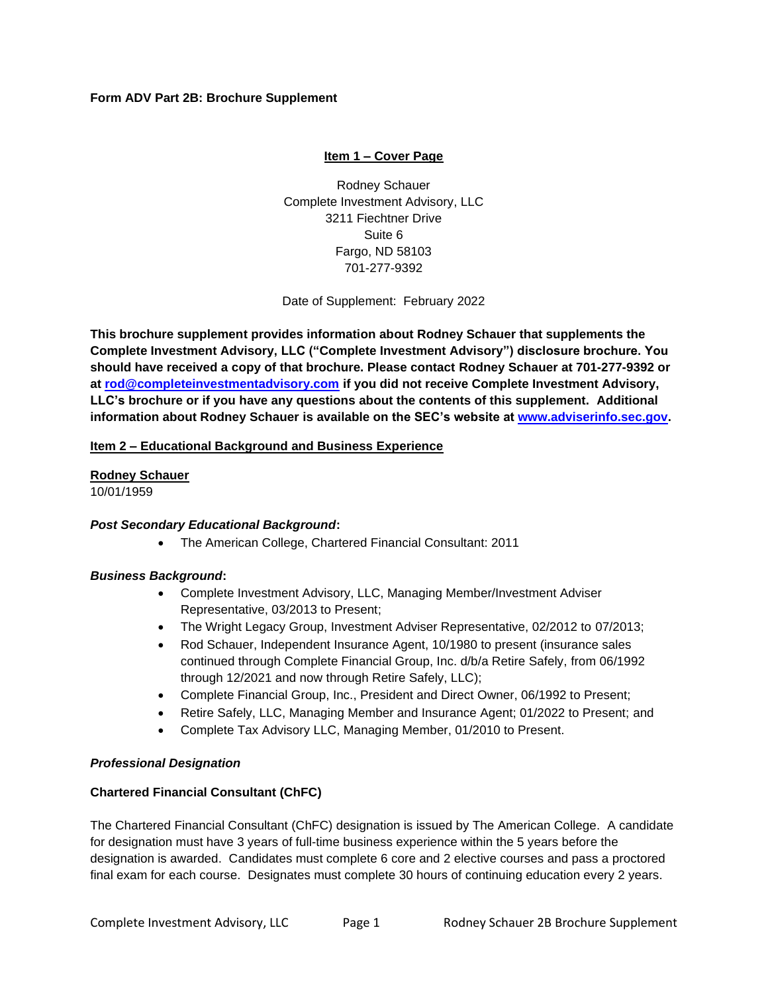## **Form ADV Part 2B: Brochure Supplement**

# **Item 1 – Cover Page**

Rodney Schauer Complete Investment Advisory, LLC 3211 Fiechtner Drive Suite 6 Fargo, ND 58103 701-277-9392

Date of Supplement: February 2022

**This brochure supplement provides information about Rodney Schauer that supplements the Complete Investment Advisory, LLC ("Complete Investment Advisory") disclosure brochure. You should have received a copy of that brochure. Please contact Rodney Schauer at 701-277-9392 or at [rod@completeinvestmentadvisory.com](mailto:rod@completeinvestmentadvisory.com) if you did not receive Complete Investment Advisory, LLC's brochure or if you have any questions about the contents of this supplement. Additional information about Rodney Schauer is available on the SEC's website at [www.adviserinfo.sec.gov.](http://www.adviserinfo.sec.gov/)**

### **Item 2 – Educational Background and Business Experience**

**Rodney Schauer** 10/01/1959

### *Post Secondary Educational Background***:**

• The American College, Chartered Financial Consultant: 2011

### *Business Background***:**

- Complete Investment Advisory, LLC, Managing Member/Investment Adviser Representative, 03/2013 to Present;
- The Wright Legacy Group, Investment Adviser Representative, 02/2012 to 07/2013;
- Rod Schauer, Independent Insurance Agent, 10/1980 to present (insurance sales continued through Complete Financial Group, Inc. d/b/a Retire Safely, from 06/1992 through 12/2021 and now through Retire Safely, LLC);
- Complete Financial Group, Inc., President and Direct Owner, 06/1992 to Present;
- Retire Safely, LLC, Managing Member and Insurance Agent; 01/2022 to Present; and
- Complete Tax Advisory LLC, Managing Member, 01/2010 to Present.

### *Professional Designation*

### **Chartered Financial Consultant (ChFC)**

The Chartered Financial Consultant (ChFC) designation is issued by The American College. A candidate for designation must have 3 years of full-time business experience within the 5 years before the designation is awarded. Candidates must complete 6 core and 2 elective courses and pass a proctored final exam for each course. Designates must complete 30 hours of continuing education every 2 years.